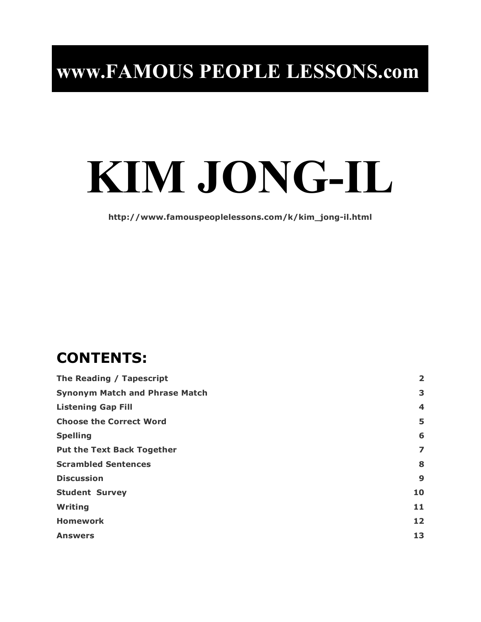# **www.FAMOUS PEOPLE LESSONS.com**

# **KIM JONG-IL**

**http://www.famouspeoplelessons.com/k/kim\_jong-il.html**

## **CONTENTS:**

| The Reading / Tapescript              |                         |  |
|---------------------------------------|-------------------------|--|
| <b>Synonym Match and Phrase Match</b> | 3                       |  |
| <b>Listening Gap Fill</b>             | $\overline{\mathbf{4}}$ |  |
| <b>Choose the Correct Word</b>        | 5                       |  |
| <b>Spelling</b>                       | 6                       |  |
| <b>Put the Text Back Together</b>     | 7                       |  |
| <b>Scrambled Sentences</b>            | 8                       |  |
| <b>Discussion</b>                     | 9                       |  |
| <b>Student Survey</b>                 | 10                      |  |
| Writing                               | 11                      |  |
| <b>Homework</b>                       | 12                      |  |
| <b>Answers</b>                        | 13                      |  |
|                                       |                         |  |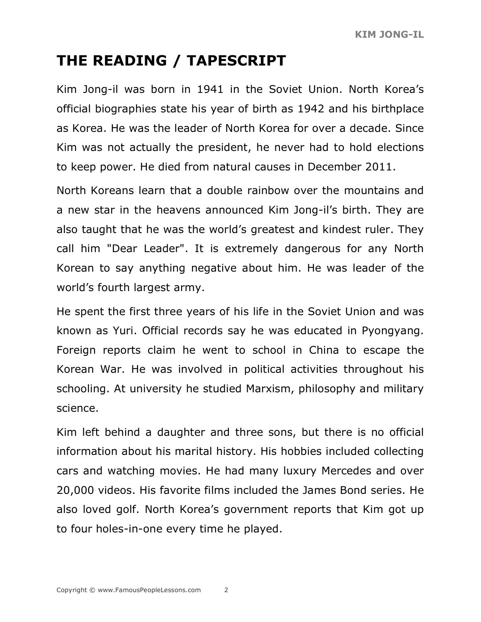# **THE READING / TAPESCRIPT**

Kim Jong-il was born in 1941 in the Soviet Union. North Korea's official biographies state his year of birth as 1942 and his birthplace as Korea. He was the leader of North Korea for over a decade. Since Kim was not actually the president, he never had to hold elections to keep power. He died from natural causes in December 2011.

North Koreans learn that a double rainbow over the mountains and a new star in the heavens announced Kim Jong-il's birth. They are also taught that he was the world's greatest and kindest ruler. They call him "Dear Leader". It is extremely dangerous for any North Korean to say anything negative about him. He was leader of the world's fourth largest army.

He spent the first three years of his life in the Soviet Union and was known as Yuri. Official records say he was educated in Pyongyang. Foreign reports claim he went to school in China to escape the Korean War. He was involved in political activities throughout his schooling. At university he studied Marxism, philosophy and military science.

Kim left behind a daughter and three sons, but there is no official information about his marital history. His hobbies included collecting cars and watching movies. He had many luxury Mercedes and over 20,000 videos. His favorite films included the James Bond series. He also loved golf. North Korea's government reports that Kim got up to four holes-in-one every time he played.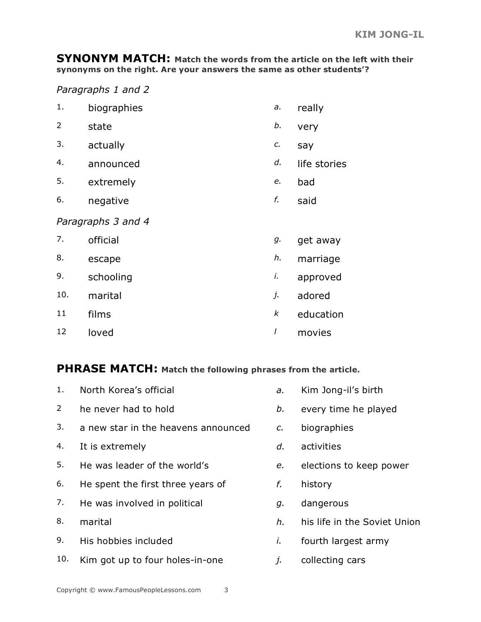**SYNONYM MATCH: Match the words from the article on the left with their synonyms on the right. Are your answers the same as other students'?**

*Paragraphs 1 and 2*

| 1.             | biographies        | $\partial$ . | really       |
|----------------|--------------------|--------------|--------------|
| $\overline{2}$ | state              | b.           | very         |
| 3.             | actually           | c.           | say          |
| 4.             | announced          | d.           | life stories |
| 5.             | extremely          | e.           | bad          |
| 6.             | negative           | f.           | said         |
|                | Paragraphs 3 and 4 |              |              |
| 7.             | official           | g.           | get away     |
| 8.             | escape             | h.           | marriage     |
| 9.             | schooling          | i.           | approved     |
| 10.            | marital            | j.           | adored       |
| 11             | films              | k            | education    |
| 12             | loved              | I            | movies       |

#### **PHRASE MATCH: Match the following phrases from the article.**

| 1.             | North Korea's official              | a.              | Kim Jong-il's birth          |
|----------------|-------------------------------------|-----------------|------------------------------|
| $\overline{2}$ | he never had to hold                | b.              | every time he played         |
| 3.             | a new star in the heavens announced | $\mathcal{C}$ . | biographies                  |
| 4.             | It is extremely                     | d.              | activities                   |
| 5.             | He was leader of the world's        | e.              | elections to keep power      |
| 6.             | He spent the first three years of   | f.              | history                      |
| 7.             | He was involved in political        | g.              | dangerous                    |
| 8.             | marital                             | h.              | his life in the Soviet Union |
| 9.             | His hobbies included                | İ.              | fourth largest army          |
| 10.            | Kim got up to four holes-in-one     | $\mathcal{I}$ . | collecting cars              |
|                |                                     |                 |                              |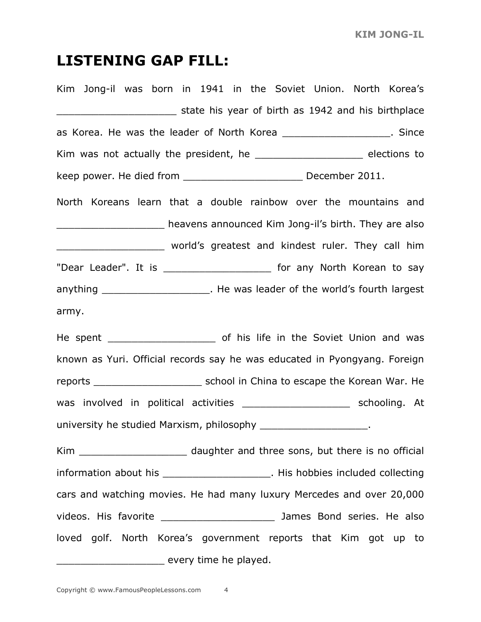#### **LISTENING GAP FILL:**

Kim Jong-il was born in 1941 in the Soviet Union. North Korea's atate his year of birth as 1942 and his birthplace as Korea. He was the leader of North Korea \_\_\_\_\_\_\_\_\_\_\_\_\_\_\_\_\_\_\_\_. Since Kim was not actually the president, he \_\_\_\_\_\_\_\_\_\_\_\_\_\_\_\_\_\_\_\_\_\_\_\_ elections to keep power. He died from \_\_\_\_\_\_\_\_\_\_\_\_\_\_\_\_\_\_\_\_ December 2011. North Koreans learn that a double rainbow over the mountains and **EXECUTE:** heavens announced Kim Jong-il's birth. They are also world's greatest and kindest ruler. They call him "Dear Leader". It is \_\_\_\_\_\_\_\_\_\_\_\_\_\_\_\_\_\_\_\_\_\_ for any North Korean to say anything \_\_\_\_\_\_\_\_\_\_\_\_\_\_\_\_\_\_\_\_\_\_. He was leader of the world's fourth largest army. He spent \_\_\_\_\_\_\_\_\_\_\_\_\_\_\_\_\_\_ of his life in the Soviet Union and was known as Yuri. Official records say he was educated in Pyongyang. Foreign reports \_\_\_\_\_\_\_\_\_\_\_\_\_\_\_\_\_\_ school in China to escape the Korean War. He was involved in political activities and the schooling. At university he studied Marxism, philosophy \_\_\_\_\_\_\_\_\_\_\_\_\_\_\_\_\_\_\_\_\_. Kim **Kim** daughter and three sons, but there is no official information about his \_\_\_\_\_\_\_\_\_\_\_\_\_\_\_\_\_\_\_\_\_\_. His hobbies included collecting cars and watching movies. He had many luxury Mercedes and over 20,000 videos. His favorite \_\_\_\_\_\_\_\_\_\_\_\_\_\_\_\_\_\_\_ James Bond series. He also loved golf. North Korea's government reports that Kim got up to \_\_\_\_\_\_\_\_\_\_\_\_\_\_\_\_\_\_ every time he played.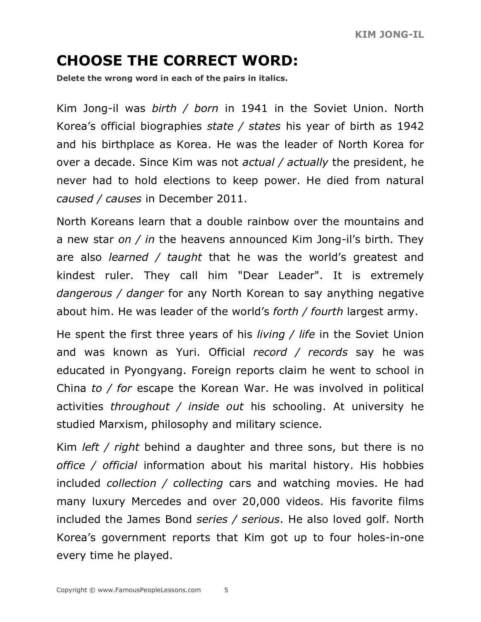# **CHOOSE THE CORRECT WORD:**

**Delete the wrong word in each of the pairs in italics.**

Kim Jong-il was *birth / born* in 1941 in the Soviet Union. North Korea's official biographies *state / states* his year of birth as 1942 and his birthplace as Korea. He was the leader of North Korea for over a decade. Since Kim was not *actual / actually* the president, he never had to hold elections to keep power. He died from natural *caused / causes* in December 2011.

North Koreans learn that a double rainbow over the mountains and a new star *on / in* the heavens announced Kim Jong-il's birth. They are also *learned / taught* that he was the world's greatest and kindest ruler. They call him "Dear Leader". It is extremely *dangerous / danger* for any North Korean to say anything negative about him. He was leader of the world's *forth / fourth* largest army.

He spent the first three years of his *living / life* in the Soviet Union and was known as Yuri. Official *record / records* say he was educated in Pyongyang. Foreign reports claim he went to school in China *to / for* escape the Korean War. He was involved in political activities *throughout / inside out* his schooling. At university he studied Marxism, philosophy and military science.

Kim *left / right* behind a daughter and three sons, but there is no *office / official* information about his marital history. His hobbies included *collection / collecting* cars and watching movies. He had many luxury Mercedes and over 20,000 videos. His favorite films included the James Bond *series / serious*. He also loved golf. North Korea's government reports that Kim got up to four holes-in-one every time he played.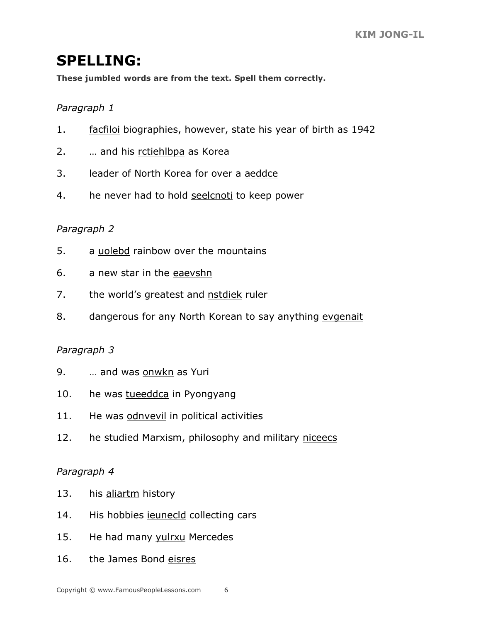#### **SPELLING:**

**These jumbled words are from the text. Spell them correctly.**

#### *Paragraph 1*

- 1. facfiloi biographies, however, state his year of birth as 1942
- 2. … and his rctiehlbpa as Korea
- 3. leader of North Korea for over a aeddce
- 4. he never had to hold seelcnoti to keep power

#### *Paragraph 2*

- 5. a uolebd rainbow over the mountains
- 6. a new star in the eaevshn
- 7. the world's greatest and nstdiek ruler
- 8. dangerous for any North Korean to say anything evgenait

#### *Paragraph 3*

- 9. … and was onwkn as Yuri
- 10. he was tueeddca in Pyongyang
- 11. He was odnvevil in political activities
- 12. he studied Marxism, philosophy and military niceecs

#### *Paragraph 4*

- 13. his aliartm history
- 14. His hobbies ieunecld collecting cars
- 15. He had many yulrxu Mercedes
- 16. the James Bond eisres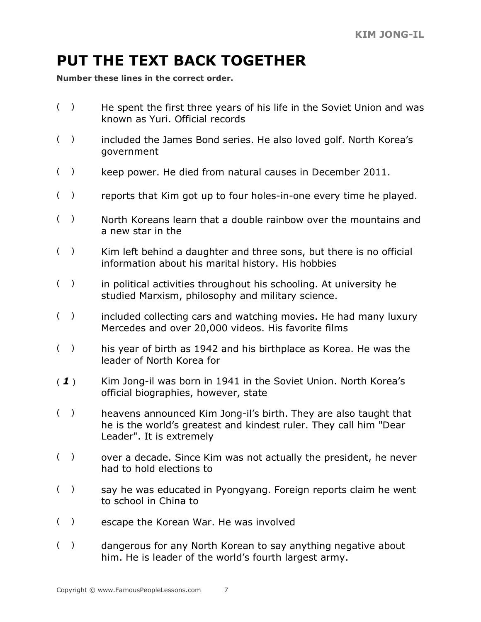# **PUT THE TEXT BACK TOGETHER**

**Number these lines in the correct order.**

- ( ) He spent the first three years of his life in the Soviet Union and was known as Yuri. Official records
- ( ) included the James Bond series. He also loved golf. North Korea's government
- ( ) keep power. He died from natural causes in December 2011.
- ( ) reports that Kim got up to four holes-in-one every time he played.
- ( ) North Koreans learn that a double rainbow over the mountains and a new star in the
- ( ) Kim left behind a daughter and three sons, but there is no official information about his marital history. His hobbies
- ( ) in political activities throughout his schooling. At university he studied Marxism, philosophy and military science.
- ( ) included collecting cars and watching movies. He had many luxury Mercedes and over 20,000 videos. His favorite films
- () his year of birth as 1942 and his birthplace as Korea. He was the leader of North Korea for
- ( *1* ) Kim Jong-il was born in 1941 in the Soviet Union. North Korea's official biographies, however, state
- ( ) heavens announced Kim Jong-il's birth. They are also taught that he is the world's greatest and kindest ruler. They call him "Dear Leader". It is extremely
- $($ ) over a decade. Since Kim was not actually the president, he never had to hold elections to
- $($ ) say he was educated in Pyongyang. Foreign reports claim he went to school in China to
- ( ) escape the Korean War. He was involved
- $($ ) dangerous for any North Korean to say anything negative about him. He is leader of the world's fourth largest army.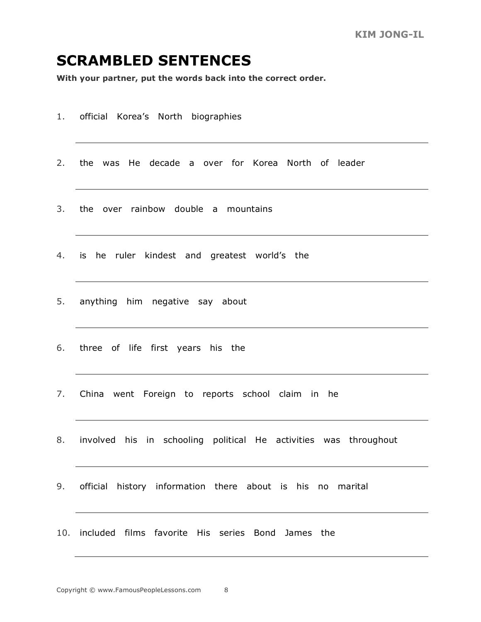#### **SCRAMBLED SENTENCES**

**With your partner, put the words back into the correct order.**

- 1. official Korea's North biographies
- 2. the was He decade a over for Korea North of leader
- 3. the over rainbow double a mountains
- 4. is he ruler kindest and greatest world's the
- 5. anything him negative say about
- 6. three of life first years his the
- 7. China went Foreign to reports school claim in he
- 8. involved his in schooling political He activities was throughout
- 9. official history information there about is his no marital
- 10. included films favorite His series Bond James the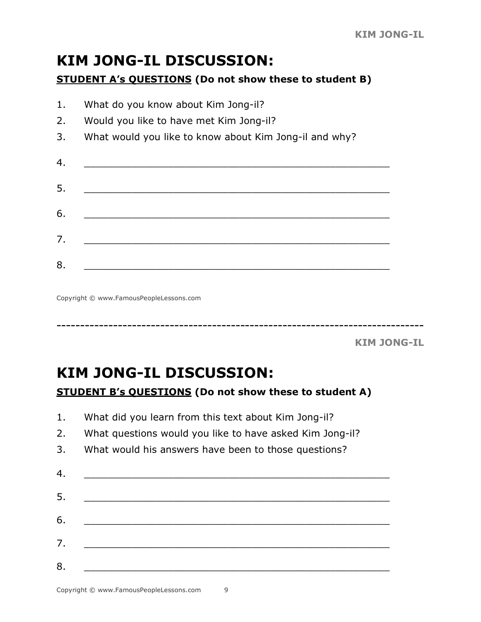# **KIM JONG-IL DISCUSSION:**

#### **STUDENT A's QUESTIONS (Do not show these to student B)**

| 1. | What do you know about Kim Jong-il?                    |
|----|--------------------------------------------------------|
| 2. | Would you like to have met Kim Jong-il?                |
| 3. | What would you like to know about Kim Jong-il and why? |
| 4. |                                                        |
| 5. |                                                        |
| 6. |                                                        |
| 7. |                                                        |
| 8. |                                                        |

Copyright © www.FamousPeopleLessons.com

------------------------------------------------------------------------------

**KIM JONG-IL**

# **KIM JONG-IL DISCUSSION:**

#### **STUDENT B's QUESTIONS (Do not show these to student A)**

- 1. What did you learn from this text about Kim Jong-il?
- 2. What questions would you like to have asked Kim Jong-il?
- 3. What would his answers have been to those questions?

| 4. |  |  |  |
|----|--|--|--|
| 5. |  |  |  |
| 6. |  |  |  |
| 7. |  |  |  |
| 8. |  |  |  |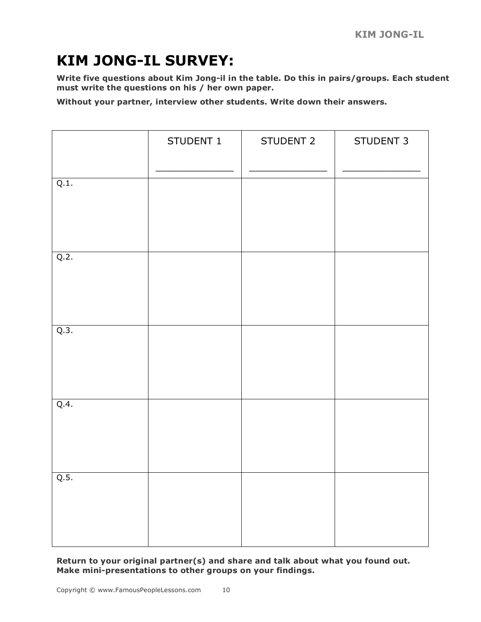# **KIM JONG-IL SURVEY:**

**Write five questions about Kim Jong-il in the table. Do this in pairs/groups. Each student must write the questions on his / her own paper.**

**Without your partner, interview other students. Write down their answers.**

|      | STUDENT 1 | STUDENT 2 | STUDENT 3 |
|------|-----------|-----------|-----------|
| Q.1. |           |           |           |
| Q.2. |           |           |           |
| Q.3. |           |           |           |
| Q.4. |           |           |           |
| Q.5. |           |           |           |

**Return to your original partner(s) and share and talk about what you found out. Make mini-presentations to other groups on your findings.**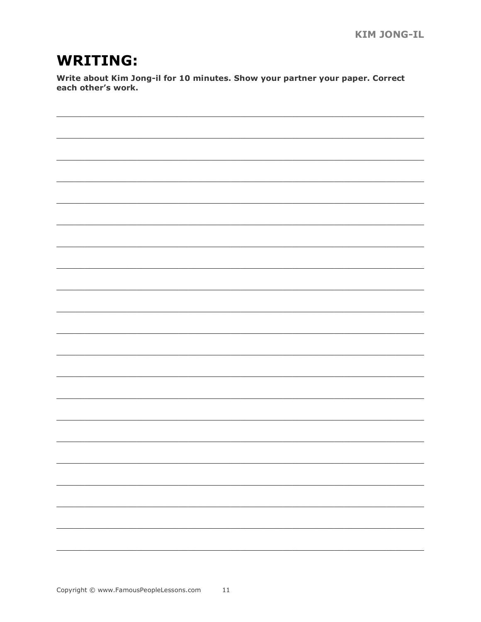## **WRITING:**

Write about Kim Jong-il for 10 minutes. Show your partner your paper. Correct each other's work.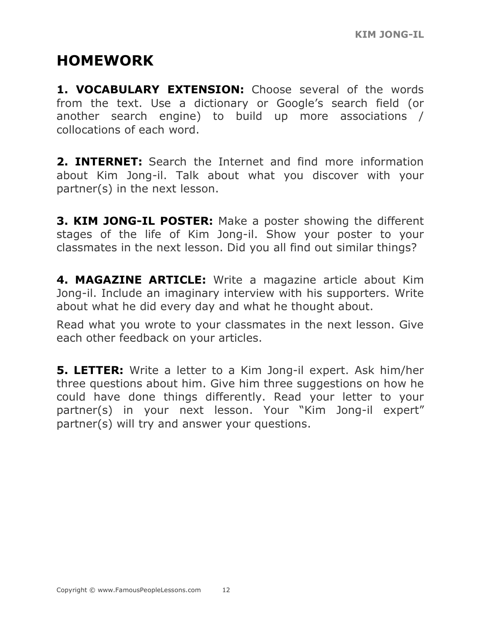## **HOMEWORK**

1. VOCABULARY EXTENSION: Choose several of the words from the text. Use a dictionary or Google's search field (or another search engine) to build up more associations / collocations of each word.

**2. INTERNET:** Search the Internet and find more information about Kim Jong-il. Talk about what you discover with your partner(s) in the next lesson.

**3. KIM JONG-IL POSTER:** Make a poster showing the different stages of the life of Kim Jong-il. Show your poster to your classmates in the next lesson. Did you all find out similar things?

**4. MAGAZINE ARTICLE:** Write a magazine article about Kim Jong-il. Include an imaginary interview with his supporters. Write about what he did every day and what he thought about.

Read what you wrote to your classmates in the next lesson. Give each other feedback on your articles.

**5. LETTER:** Write a letter to a Kim Jong-il expert. Ask him/her three questions about him. Give him three suggestions on how he could have done things differently. Read your letter to your partner(s) in your next lesson. Your "Kim Jong-il expert" partner(s) will try and answer your questions.